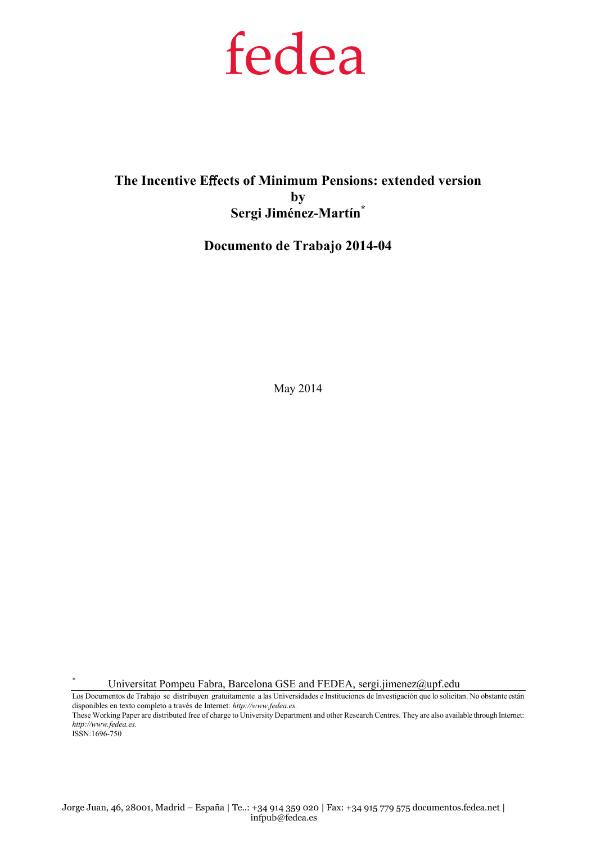# fedea

# The Incentive Effects of Minimum Pensions: extended version by Sergi Jiménez-Martín\*

## Documento de Trabajo 2014-04

May 2014

Universitat Pompeu Fabra, Barcelona GSE and FEDEA, sergi.jimenez@upf.edu

Los Documentos de Trabajo se distribuyen gratuitamente a las Universidades e Instituciones de Investigación que lo solicitan. No obstante están disponibles en texto completo a través de Internet: http://www.fedea.es. These Working Paper are distributed free of charge to University Department and other Research Centres. They are also available through Internet:

http://www.fedea.es. ISSN:1696-750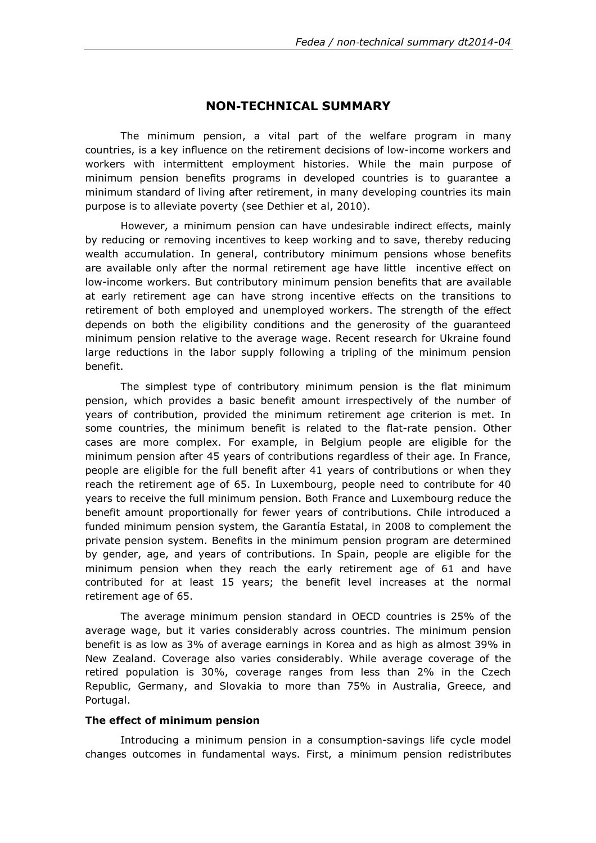## NON‐TECHNICAL SUMMARY

The minimum pension, a vital part of the welfare program in many countries, is a key influence on the retirement decisions of low-income workers and workers with intermittent employment histories. While the main purpose of minimum pension benefits programs in developed countries is to guarantee a minimum standard of living after retirement, in many developing countries its main purpose is to alleviate poverty (see Dethier et al, 2010).

However, a minimum pension can have undesirable indirect effects, mainly by reducing or removing incentives to keep working and to save, thereby reducing wealth accumulation. In general, contributory minimum pensions whose benefits are available only after the normal retirement age have little incentive effect on low-income workers. But contributory minimum pension benefits that are available at early retirement age can have strong incentive effects on the transitions to retirement of both employed and unemployed workers. The strength of the effect depends on both the eligibility conditions and the generosity of the guaranteed minimum pension relative to the average wage. Recent research for Ukraine found large reductions in the labor supply following a tripling of the minimum pension benefit.

The simplest type of contributory minimum pension is the flat minimum pension, which provides a basic benefit amount irrespectively of the number of years of contribution, provided the minimum retirement age criterion is met. In some countries, the minimum benefit is related to the flat-rate pension. Other cases are more complex. For example, in Belgium people are eligible for the minimum pension after 45 years of contributions regardless of their age. In France, people are eligible for the full benefit after 41 years of contributions or when they reach the retirement age of 65. In Luxembourg, people need to contribute for 40 years to receive the full minimum pension. Both France and Luxembourg reduce the benefit amount proportionally for fewer years of contributions. Chile introduced a funded minimum pension system, the Garantía Estatal, in 2008 to complement the private pension system. Benefits in the minimum pension program are determined by gender, age, and years of contributions. In Spain, people are eligible for the minimum pension when they reach the early retirement age of 61 and have contributed for at least 15 years; the benefit level increases at the normal retirement age of 65.

The average minimum pension standard in OECD countries is 25% of the average wage, but it varies considerably across countries. The minimum pension benefit is as low as 3% of average earnings in Korea and as high as almost 39% in New Zealand. Coverage also varies considerably. While average coverage of the retired population is 30%, coverage ranges from less than 2% in the Czech Republic, Germany, and Slovakia to more than 75% in Australia, Greece, and Portugal.

#### The effect of minimum pension

Introducing a minimum pension in a consumption-savings life cycle model changes outcomes in fundamental ways. First, a minimum pension redistributes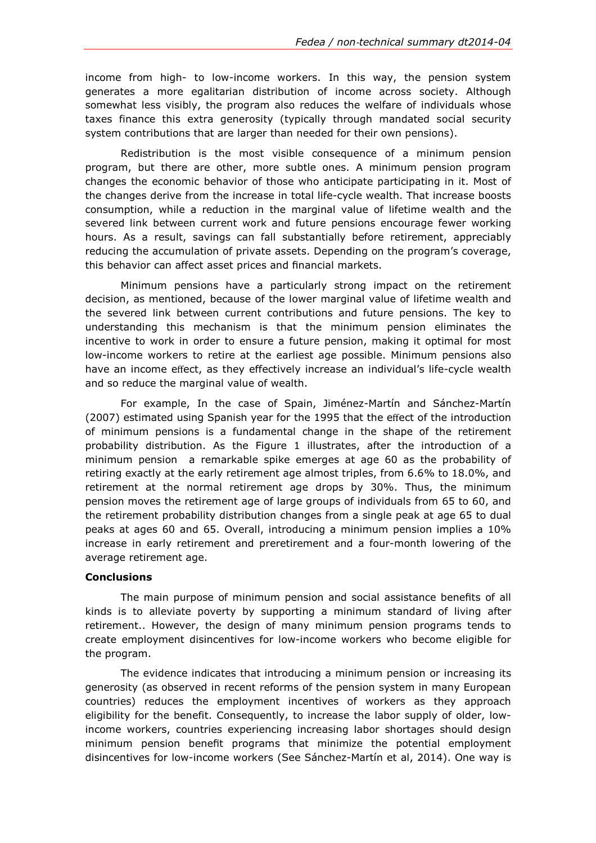income from high- to low-income workers. In this way, the pension system generates a more egalitarian distribution of income across society. Although somewhat less visibly, the program also reduces the welfare of individuals whose taxes finance this extra generosity (typically through mandated social security system contributions that are larger than needed for their own pensions).

Redistribution is the most visible consequence of a minimum pension program, but there are other, more subtle ones. A minimum pension program changes the economic behavior of those who anticipate participating in it. Most of the changes derive from the increase in total life-cycle wealth. That increase boosts consumption, while a reduction in the marginal value of lifetime wealth and the severed link between current work and future pensions encourage fewer working hours. As a result, savings can fall substantially before retirement, appreciably reducing the accumulation of private assets. Depending on the program's coverage, this behavior can affect asset prices and financial markets.

Minimum pensions have a particularly strong impact on the retirement decision, as mentioned, because of the lower marginal value of lifetime wealth and the severed link between current contributions and future pensions. The key to understanding this mechanism is that the minimum pension eliminates the incentive to work in order to ensure a future pension, making it optimal for most low-income workers to retire at the earliest age possible. Minimum pensions also have an income effect, as they effectively increase an individual's life-cycle wealth and so reduce the marginal value of wealth.

For example, In the case of Spain, Jiménez-Martín and Sánchez-Martín (2007) estimated using Spanish year for the 1995 that the effect of the introduction of minimum pensions is a fundamental change in the shape of the retirement probability distribution. As the Figure 1 illustrates, after the introduction of a minimum pension a remarkable spike emerges at age 60 as the probability of retiring exactly at the early retirement age almost triples, from 6.6% to 18.0%, and retirement at the normal retirement age drops by 30%. Thus, the minimum pension moves the retirement age of large groups of individuals from 65 to 60, and the retirement probability distribution changes from a single peak at age 65 to dual peaks at ages 60 and 65. Overall, introducing a minimum pension implies a 10% increase in early retirement and preretirement and a four-month lowering of the average retirement age.

## **Conclusions**

The main purpose of minimum pension and social assistance benefits of all kinds is to alleviate poverty by supporting a minimum standard of living after retirement.. However, the design of many minimum pension programs tends to create employment disincentives for low-income workers who become eligible for the program.

The evidence indicates that introducing a minimum pension or increasing its generosity (as observed in recent reforms of the pension system in many European countries) reduces the employment incentives of workers as they approach eligibility for the benefit. Consequently, to increase the labor supply of older, lowincome workers, countries experiencing increasing labor shortages should design minimum pension benefit programs that minimize the potential employment disincentives for low-income workers (See Sánchez-Martín et al, 2014). One way is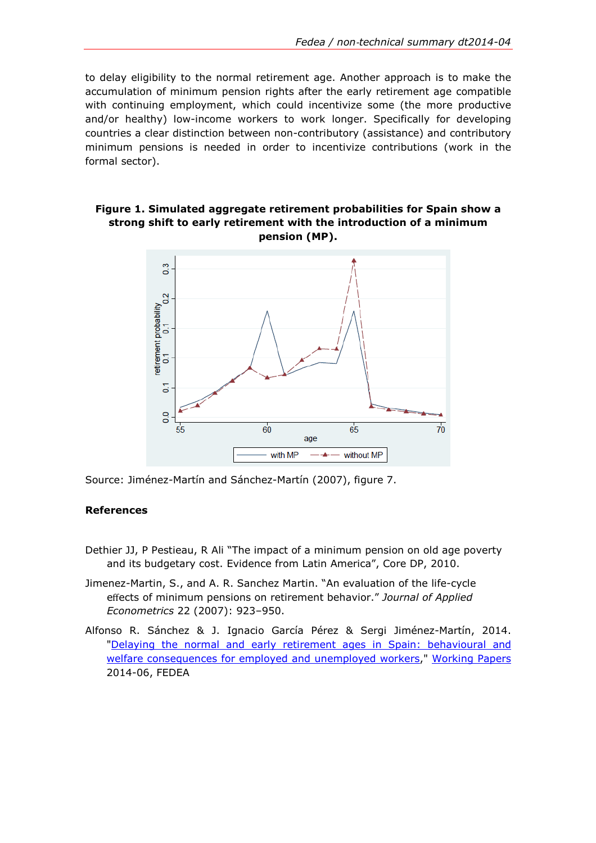to delay eligibility to the normal retirement age. Another approach is to make the accumulation of minimum pension rights after the early retirement age compatible with continuing employment, which could incentivize some (the more productive and/or healthy) low-income workers to work longer. Specifically for developing countries a clear distinction between non-contributory (assistance) and contributory minimum pensions is needed in order to incentivize contributions (work in the formal sector).

## Figure 1. Simulated aggregate retirement probabilities for Spain show a strong shift to early retirement with the introduction of a minimum pension (MP).



Source: Jiménez-Martín and Sánchez-Martín (2007), figure 7.

## References

- Dethier JJ, P Pestieau, R Ali "The impact of a minimum pension on old age poverty and its budgetary cost. Evidence from Latin America", Core DP, 2010.
- Jimenez-Martin, S., and A. R. Sanchez Martin. "An evaluation of the life-cycle effects of minimum pensions on retirement behavior." Journal of Applied Econometrics 22 (2007): 923–950.
- Alfonso R. Sánchez & J. Ignacio García Pérez & Sergi Jiménez-Martín, 2014. "Delaying the normal and early retirement ages in Spain: behavioural and welfare consequences for employed and unemployed workers," Working Papers 2014-06, FEDEA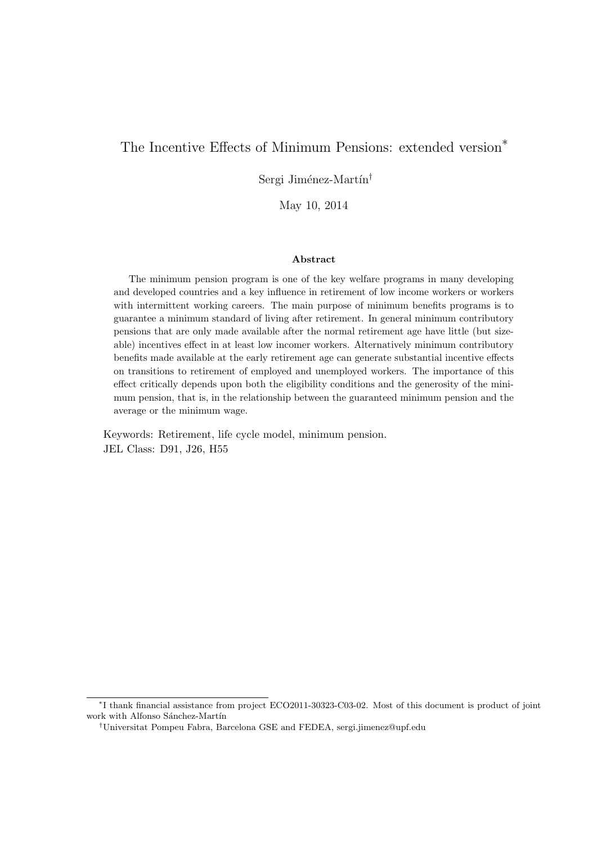# The Incentive Effects of Minimum Pensions: extended version*∗*

Sergi Jiménez-Martín<sup>†</sup>

May 10, 2014

#### **Abstract**

The minimum pension program is one of the key welfare programs in many developing and developed countries and a key influence in retirement of low income workers or workers with intermittent working careers. The main purpose of minimum benefits programs is to guarantee a minimum standard of living after retirement. In general minimum contributory pensions that are only made available after the normal retirement age have little (but sizeable) incentives effect in at least low incomer workers. Alternatively minimum contributory benefits made available at the early retirement age can generate substantial incentive effects on transitions to retirement of employed and unemployed workers. The importance of this effect critically depends upon both the eligibility conditions and the generosity of the minimum pension, that is, in the relationship between the guaranteed minimum pension and the average or the minimum wage.

Keywords: Retirement, life cycle model, minimum pension. JEL Class: D91, J26, H55

*<sup>∗</sup>* I thank financial assistance from project ECO2011-30323-C03-02. Most of this document is product of joint work with Alfonso Sánchez-Martín

*<sup>†</sup>*Universitat Pompeu Fabra, Barcelona GSE and FEDEA, sergi.jimenez@upf.edu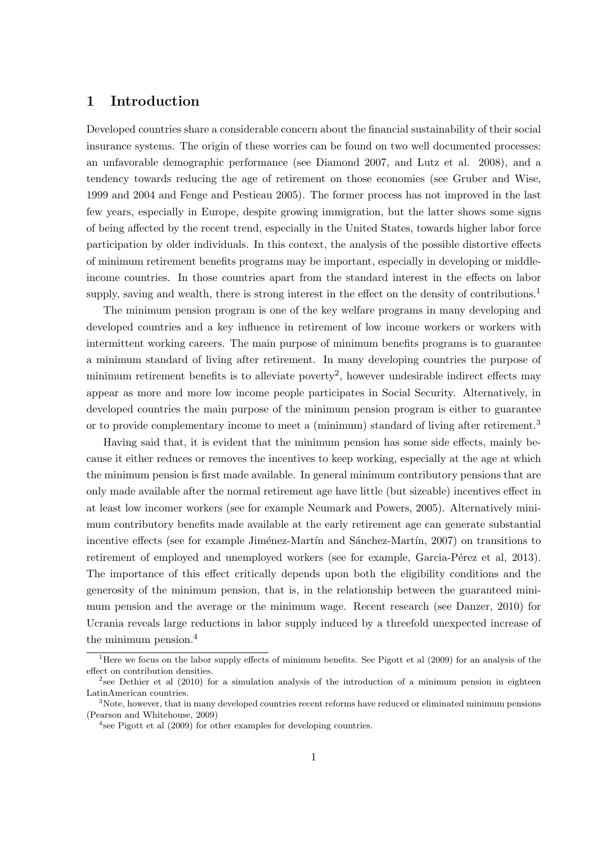## **1 Introduction**

Developed countries share a considerable concern about the financial sustainability of their social insurance systems. The origin of these worries can be found on two well documented processes: an unfavorable demographic performance (see Diamond 2007, and Lutz et al. 2008), and a tendency towards reducing the age of retirement on those economies (see Gruber and Wise, 1999 and 2004 and Fenge and Pestieau 2005). The former process has not improved in the last few years, especially in Europe, despite growing immigration, but the latter shows some signs of being affected by the recent trend, especially in the United States, towards higher labor force participation by older individuals. In this context, the analysis of the possible distortive effects of minimum retirement benefits programs may be important, especially in developing or middleincome countries. In those countries apart from the standard interest in the effects on labor supply, saving and wealth, there is strong interest in the effect on the density of contributions.<sup>1</sup>

The minimum pension program is one of the key welfare programs in many developing and developed countries and a key influence in retirement of low income workers or workers with intermittent working careers. The main purpose of minimum benefits programs is to guarantee a minimum standard of living after retirement. In many developing countries the purpose of minimum retirement benefits is to alleviate poverty<sup>2</sup>, however undesirable indirect effects may appear as more and more low income people participates in Social Security. Alternatively, in developed countries the main purpose of the minimum pension program is either to guarantee or to provide complementary income to meet a (minimum) standard of living after retirement.<sup>3</sup>

Having said that, it is evident that the minimum pension has some side effects, mainly because it either reduces or removes the incentives to keep working, especially at the age at which the minimum pension is first made available. In general minimum contributory pensions that are only made available after the normal retirement age have little (but sizeable) incentives effect in at least low incomer workers (see for example Neumark and Powers, 2005). Alternatively minimum contributory benefits made available at the early retirement age can generate substantial incentive effects (see for example Jiménez-Martín and Sánchez-Martín, 2007) on transitions to retirement of employed and unemployed workers (see for example, Garcia-Pérez et al, 2013). The importance of this effect critically depends upon both the eligibility conditions and the generosity of the minimum pension, that is, in the relationship between the guaranteed minimum pension and the average or the minimum wage. Recent research (see Danzer, 2010) for Ucrania reveals large reductions in labor supply induced by a threefold unexpected increase of the minimum pension.<sup>4</sup>

<sup>&</sup>lt;sup>1</sup>Here we focus on the labor supply effects of minimum benefits. See Pigott et al (2009) for an analysis of the effect on contribution densities.

<sup>&</sup>lt;sup>2</sup>see Dethier et al (2010) for a simulation analysis of the introduction of a minimum pension in eighteen LatinAmerican countries.

<sup>&</sup>lt;sup>3</sup>Note, however, that in many developed countries recent reforms have reduced or eliminated minimum pensions (Pearson and Whitehouse, 2009)

<sup>&</sup>lt;sup>4</sup>see Pigott et al (2009) for other examples for developing countries.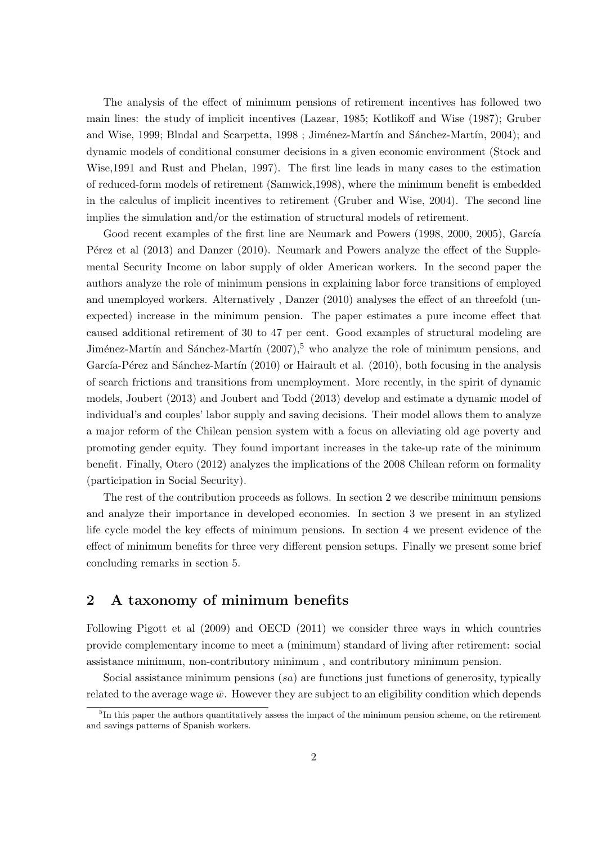The analysis of the effect of minimum pensions of retirement incentives has followed two main lines: the study of implicit incentives (Lazear, 1985; Kotlikoff and Wise (1987); Gruber and Wise, 1999; Blndal and Scarpetta, 1998; Jiménez-Martín and Sánchez-Martín, 2004); and dynamic models of conditional consumer decisions in a given economic environment (Stock and Wise,1991 and Rust and Phelan, 1997). The first line leads in many cases to the estimation of reduced-form models of retirement (Samwick,1998), where the minimum benefit is embedded in the calculus of implicit incentives to retirement (Gruber and Wise, 2004). The second line implies the simulation and/or the estimation of structural models of retirement.

Good recent examples of the first line are Neumark and Powers (1998, 2000, 2005), García P'erez et al (2013) and Danzer (2010). Neumark and Powers analyze the effect of the Supplemental Security Income on labor supply of older American workers. In the second paper the authors analyze the role of minimum pensions in explaining labor force transitions of employed and unemployed workers. Alternatively , Danzer (2010) analyses the effect of an threefold (unexpected) increase in the minimum pension. The paper estimates a pure income effect that caused additional retirement of 30 to 47 per cent. Good examples of structural modeling are Jiménez-Martín and Sánchez-Martín  $(2007)$ ,<sup>5</sup> who analyze the role of minimum pensions, and García-Pérez and Sánchez-Martín (2010) or Hairault et al. (2010), both focusing in the analysis of search frictions and transitions from unemployment. More recently, in the spirit of dynamic models, Joubert (2013) and Joubert and Todd (2013) develop and estimate a dynamic model of individual's and couples' labor supply and saving decisions. Their model allows them to analyze a major reform of the Chilean pension system with a focus on alleviating old age poverty and promoting gender equity. They found important increases in the take-up rate of the minimum benefit. Finally, Otero (2012) analyzes the implications of the 2008 Chilean reform on formality (participation in Social Security).

The rest of the contribution proceeds as follows. In section 2 we describe minimum pensions and analyze their importance in developed economies. In section 3 we present in an stylized life cycle model the key effects of minimum pensions. In section 4 we present evidence of the effect of minimum benefits for three very different pension setups. Finally we present some brief concluding remarks in section 5.

## **2 A taxonomy of minimum benefits**

Following Pigott et al (2009) and OECD (2011) we consider three ways in which countries provide complementary income to meet a (minimum) standard of living after retirement: social assistance minimum, non-contributory minimum , and contributory minimum pension.

Social assistance minimum pensions (*sa*) are functions just functions of generosity, typically related to the average wage  $\bar{w}$ . However they are subject to an eligibility condition which depends

<sup>&</sup>lt;sup>5</sup>In this paper the authors quantitatively assess the impact of the minimum pension scheme, on the retirement and savings patterns of Spanish workers.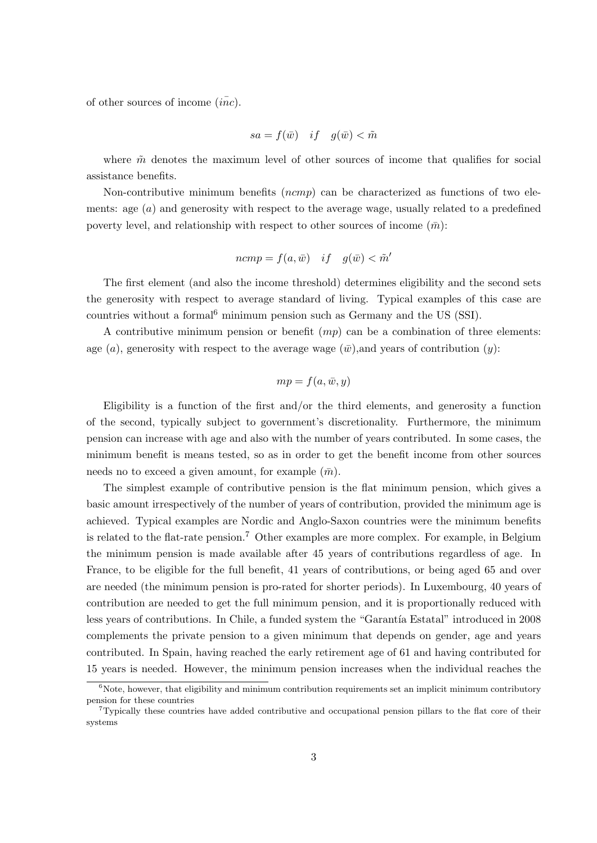of other sources of income  $(i\overline{nc})$ .

$$
sa = f(\bar{w}) \quad if \quad g(\bar{w}) < \tilde{m}
$$

where  $\tilde{m}$  denotes the maximum level of other sources of income that qualifies for social assistance benefits.

Non-contributive minimum benefits (*ncmp*) can be characterized as functions of two elements: age (*a*) and generosity with respect to the average wage, usually related to a predefined poverty level, and relationship with respect to other sources of income  $(\bar{m})$ :

$$
ncmp = f(a, \bar{w}) \quad if \quad g(\bar{w}) < \tilde{m}'
$$

The first element (and also the income threshold) determines eligibility and the second sets the generosity with respect to average standard of living. Typical examples of this case are countries without a formal<sup>6</sup> minimum pension such as Germany and the US (SSI).

A contributive minimum pension or benefit (*mp*) can be a combination of three elements: age (*a*), generosity with respect to the average wage  $(\bar{w})$ , and years of contribution (*y*):

$$
mp = f(a, \bar{w}, y)
$$

Eligibility is a function of the first and/or the third elements, and generosity a function of the second, typically subject to government's discretionality. Furthermore, the minimum pension can increase with age and also with the number of years contributed. In some cases, the minimum benefit is means tested, so as in order to get the benefit income from other sources needs no to exceed a given amount, for example  $(\bar{m})$ .

The simplest example of contributive pension is the flat minimum pension, which gives a basic amount irrespectively of the number of years of contribution, provided the minimum age is achieved. Typical examples are Nordic and Anglo-Saxon countries were the minimum benefits is related to the flat-rate pension.<sup>7</sup> Other examples are more complex. For example, in Belgium the minimum pension is made available after 45 years of contributions regardless of age. In France, to be eligible for the full benefit, 41 years of contributions, or being aged 65 and over are needed (the minimum pension is pro-rated for shorter periods). In Luxembourg, 40 years of contribution are needed to get the full minimum pension, and it is proportionally reduced with less years of contributions. In Chile, a funded system the "Garantía Estatal" introduced in 2008 complements the private pension to a given minimum that depends on gender, age and years contributed. In Spain, having reached the early retirement age of 61 and having contributed for 15 years is needed. However, the minimum pension increases when the individual reaches the

 $6N$ ote, however, that eligibility and minimum contribution requirements set an implicit minimum contributory pension for these countries

<sup>7</sup>Typically these countries have added contributive and occupational pension pillars to the flat core of their systems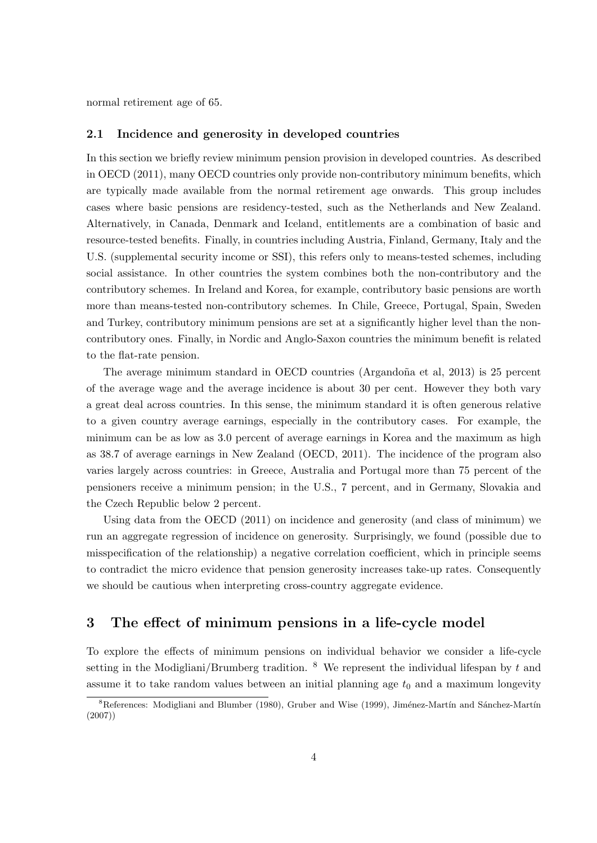normal retirement age of 65.

#### **2.1 Incidence and generosity in developed countries**

In this section we briefly review minimum pension provision in developed countries. As described in OECD (2011), many OECD countries only provide non-contributory minimum benefits, which are typically made available from the normal retirement age onwards. This group includes cases where basic pensions are residency-tested, such as the Netherlands and New Zealand. Alternatively, in Canada, Denmark and Iceland, entitlements are a combination of basic and resource-tested benefits. Finally, in countries including Austria, Finland, Germany, Italy and the U.S. (supplemental security income or SSI), this refers only to means-tested schemes, including social assistance. In other countries the system combines both the non-contributory and the contributory schemes. In Ireland and Korea, for example, contributory basic pensions are worth more than means-tested non-contributory schemes. In Chile, Greece, Portugal, Spain, Sweden and Turkey, contributory minimum pensions are set at a significantly higher level than the noncontributory ones. Finally, in Nordic and Anglo-Saxon countries the minimum benefit is related to the flat-rate pension.

The average minimum standard in OECD countries (Argandoña et al, 2013) is 25 percent of the average wage and the average incidence is about 30 per cent. However they both vary a great deal across countries. In this sense, the minimum standard it is often generous relative to a given country average earnings, especially in the contributory cases. For example, the minimum can be as low as 3.0 percent of average earnings in Korea and the maximum as high as 38.7 of average earnings in New Zealand (OECD, 2011). The incidence of the program also varies largely across countries: in Greece, Australia and Portugal more than 75 percent of the pensioners receive a minimum pension; in the U.S., 7 percent, and in Germany, Slovakia and the Czech Republic below 2 percent.

Using data from the OECD (2011) on incidence and generosity (and class of minimum) we run an aggregate regression of incidence on generosity. Surprisingly, we found (possible due to misspecification of the relationship) a negative correlation coefficient, which in principle seems to contradict the micro evidence that pension generosity increases take-up rates. Consequently we should be cautious when interpreting cross-country aggregate evidence.

## **3 The effect of minimum pensions in a life-cycle model**

To explore the effects of minimum pensions on individual behavior we consider a life-cycle setting in the Modigliani/Brumberg tradition. <sup>8</sup> We represent the individual lifespan by *t* and assume it to take random values between an initial planning age  $t_0$  and a maximum longevity

 ${}^{8}$ References: Modigliani and Blumber (1980), Gruber and Wise (1999), Jiménez-Martín and Sánchez-Martín (2007))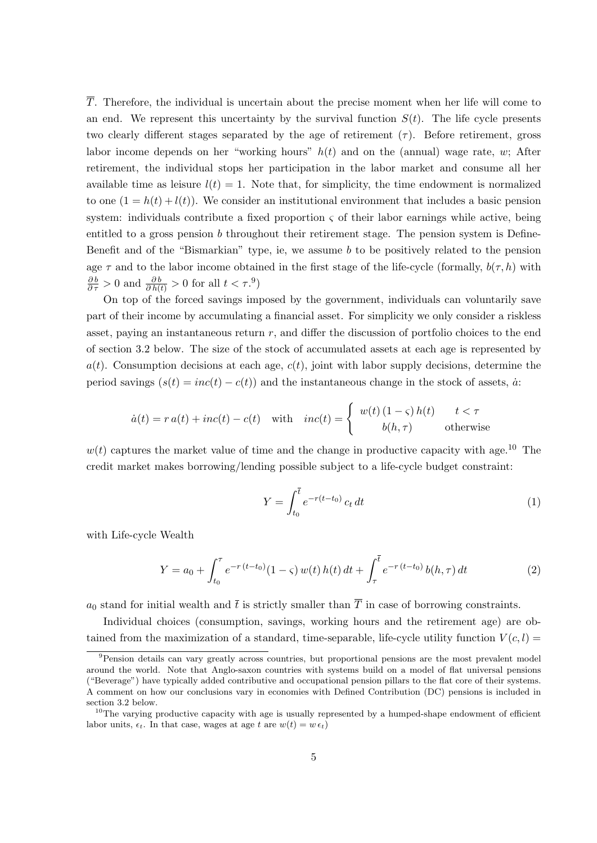*T*. Therefore, the individual is uncertain about the precise moment when her life will come to an end. We represent this uncertainty by the survival function  $S(t)$ . The life cycle presents two clearly different stages separated by the age of retirement  $(\tau)$ . Before retirement, gross labor income depends on her "working hours" *h*(*t*) and on the (annual) wage rate, *w*; After retirement, the individual stops her participation in the labor market and consume all her available time as leisure  $l(t) = 1$ . Note that, for simplicity, the time endowment is normalized to one  $(1 = h(t) + l(t))$ . We consider an institutional environment that includes a basic pension system: individuals contribute a fixed proportion  $\varsigma$  of their labor earnings while active, being entitled to a gross pension *b* throughout their retirement stage. The pension system is Define-Benefit and of the "Bismarkian" type, ie, we assume *b* to be positively related to the pension age  $\tau$  and to the labor income obtained in the first stage of the life-cycle (formally,  $b(\tau, h)$ ) with  $\frac{\partial b}{\partial \tau} > 0$  and  $\frac{\partial b}{\partial h(t)} > 0$  for all  $t < \tau$ .<sup>9</sup>)

On top of the forced savings imposed by the government, individuals can voluntarily save part of their income by accumulating a financial asset. For simplicity we only consider a riskless asset, paying an instantaneous return *r*, and differ the discussion of portfolio choices to the end of section 3.2 below. The size of the stock of accumulated assets at each age is represented by  $a(t)$ . Consumption decisions at each age,  $c(t)$ , joint with labor supply decisions, determine the period savings  $(s(t) = inc(t) - c(t))$  and the instantaneous change in the stock of assets,  $\dot{a}$ .

$$
\dot{a}(t) = r a(t) + inc(t) - c(t) \quad \text{with} \quad inc(t) = \begin{cases} w(t) (1 - \varsigma) h(t) & t < \tau \\ b(h, \tau) & \text{otherwise} \end{cases}
$$

 $w(t)$  captures the market value of time and the change in productive capacity with age.<sup>10</sup> The credit market makes borrowing/lending possible subject to a life-cycle budget constraint:

$$
Y = \int_{t_0}^{\overline{t}} e^{-r(t-t_0)} c_t dt
$$
 (1)

with Life-cycle Wealth

$$
Y = a_0 + \int_{t_0}^{\tau} e^{-r(t-t_0)} (1-\varsigma) w(t) h(t) dt + \int_{\tau}^{\overline{t}} e^{-r(t-t_0)} b(h,\tau) dt \tag{2}
$$

 $a_0$  stand for initial wealth and  $\bar{t}$  is strictly smaller than  $\bar{T}$  in case of borrowing constraints.

Individual choices (consumption, savings, working hours and the retirement age) are obtained from the maximization of a standard, time-separable, life-cycle utility function  $V(c, l)$ 

<sup>9</sup>Pension details can vary greatly across countries, but proportional pensions are the most prevalent model around the world. Note that Anglo-saxon countries with systems build on a model of flat universal pensions ("Beverage") have typically added contributive and occupational pension pillars to the flat core of their systems. A comment on how our conclusions vary in economies with Defined Contribution (DC) pensions is included in section 3.2 below.

 $10$ The varying productive capacity with age is usually represented by a humped-shape endowment of efficient labor units,  $\epsilon_t$ . In that case, wages at age *t* are  $w(t) = w \epsilon_t$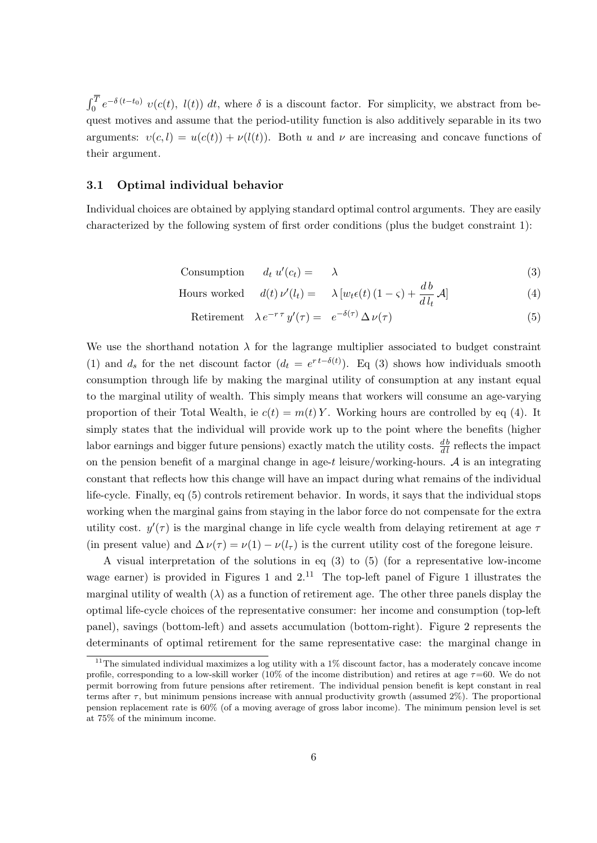$\int_0^T e^{-\delta(t-t_0)} v(c(t), l(t)) dt$ , where  $\delta$  is a discount factor. For simplicity, we abstract from bequest motives and assume that the period-utility function is also additively separable in its two arguments:  $v(c, l) = u(c(t)) + v(l(t))$ . Both *u* and *v* are increasing and concave functions of their argument.

#### **3.1 Optimal individual behavior**

Individual choices are obtained by applying standard optimal control arguments. They are easily characterized by the following system of first order conditions (plus the budget constraint 1):

Consumption  $d_t u'(c_t) = \lambda$  (3)

Hours worked 
$$
d(t) \nu'(l_t) = \lambda [w_t \epsilon(t) (1 - \varsigma) + \frac{db}{dl_t} \mathcal{A}]
$$
 (4)

Retirement  $\lambda e^{-r\tau} y'(\tau) = e^{-\delta(\tau)} \Delta \nu(\tau)$  (5)

We use the shorthand notation  $\lambda$  for the lagrange multiplier associated to budget constraint (1) and  $d_s$  for the net discount factor  $(d_t = e^{rt - \delta(t)})$ . Eq (3) shows how individuals smooth consumption through life by making the marginal utility of consumption at any instant equal to the marginal utility of wealth. This simply means that workers will consume an age-varying proportion of their Total Wealth, ie  $c(t) = m(t) Y$ . Working hours are controlled by eq (4). It simply states that the individual will provide work up to the point where the benefits (higher labor earnings and bigger future pensions) exactly match the utility costs.  $\frac{db}{dl}$  reflects the impact on the pension benefit of a marginal change in age-*t* leisure/working-hours. *A* is an integrating constant that reflects how this change will have an impact during what remains of the individual life-cycle. Finally, eq (5) controls retirement behavior. In words, it says that the individual stops working when the marginal gains from staying in the labor force do not compensate for the extra utility cost. *y ′* (*τ* ) is the marginal change in life cycle wealth from delaying retirement at age *τ* (in present value) and  $\Delta \nu(\tau) = \nu(1) - \nu(l_{\tau})$  is the current utility cost of the foregone leisure.

A visual interpretation of the solutions in eq (3) to (5) (for a representative low-income wage earner) is provided in Figures 1 and  $2<sup>11</sup>$  The top-left panel of Figure 1 illustrates the marginal utility of wealth  $(\lambda)$  as a function of retirement age. The other three panels display the optimal life-cycle choices of the representative consumer: her income and consumption (top-left panel), savings (bottom-left) and assets accumulation (bottom-right). Figure 2 represents the determinants of optimal retirement for the same representative case: the marginal change in

 $11$ The simulated individual maximizes a log utility with a  $1\%$  discount factor, has a moderately concave income profile, corresponding to a low-skill worker (10% of the income distribution) and retires at age *τ*=60. We do not permit borrowing from future pensions after retirement. The individual pension benefit is kept constant in real terms after *τ* , but minimum pensions increase with annual productivity growth (assumed 2%). The proportional pension replacement rate is 60% (of a moving average of gross labor income). The minimum pension level is set at 75% of the minimum income.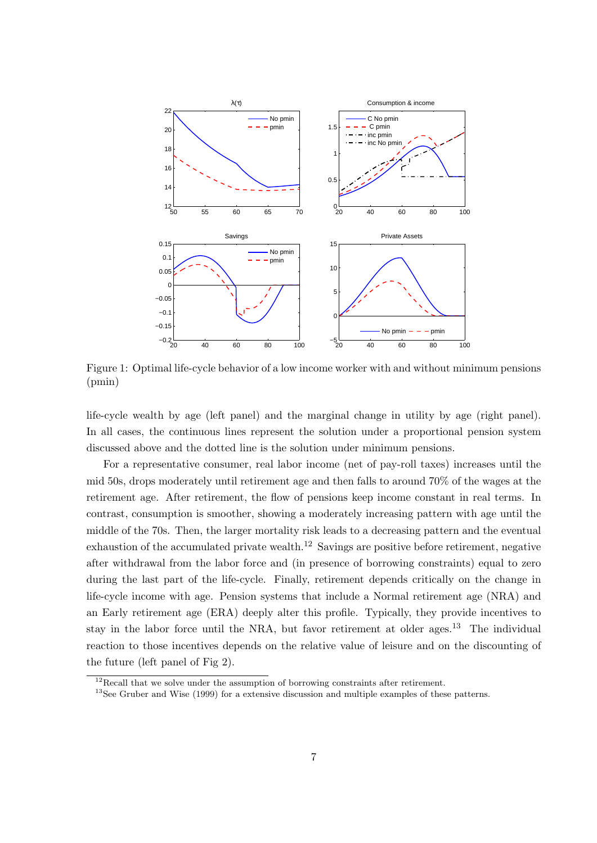

Figure 1: Optimal life-cycle behavior of a low income worker with and without minimum pensions (pmin)

life-cycle wealth by age (left panel) and the marginal change in utility by age (right panel). In all cases, the continuous lines represent the solution under a proportional pension system discussed above and the dotted line is the solution under minimum pensions.

For a representative consumer, real labor income (net of pay-roll taxes) increases until the mid 50s, drops moderately until retirement age and then falls to around 70% of the wages at the retirement age. After retirement, the flow of pensions keep income constant in real terms. In contrast, consumption is smoother, showing a moderately increasing pattern with age until the middle of the 70s. Then, the larger mortality risk leads to a decreasing pattern and the eventual exhaustion of the accumulated private wealth.<sup>12</sup> Savings are positive before retirement, negative after withdrawal from the labor force and (in presence of borrowing constraints) equal to zero during the last part of the life-cycle. Finally, retirement depends critically on the change in life-cycle income with age. Pension systems that include a Normal retirement age (NRA) and an Early retirement age (ERA) deeply alter this profile. Typically, they provide incentives to stay in the labor force until the NRA, but favor retirement at older ages.<sup>13</sup> The individual reaction to those incentives depends on the relative value of leisure and on the discounting of the future (left panel of Fig 2).

<sup>&</sup>lt;sup>12</sup>Recall that we solve under the assumption of borrowing constraints after retirement.

<sup>&</sup>lt;sup>13</sup>See Gruber and Wise (1999) for a extensive discussion and multiple examples of these patterns.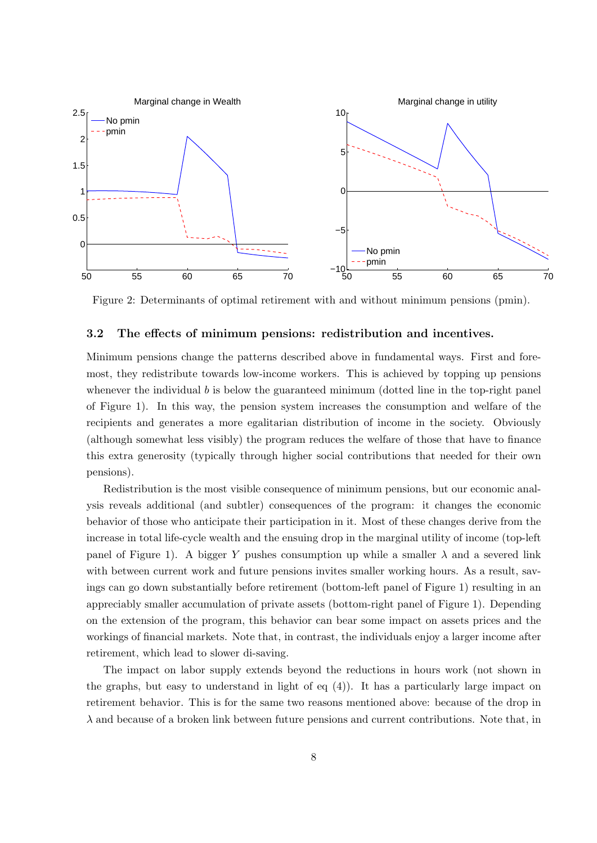

Figure 2: Determinants of optimal retirement with and without minimum pensions (pmin).

#### **3.2 The effects of minimum pensions: redistribution and incentives.**

Minimum pensions change the patterns described above in fundamental ways. First and foremost, they redistribute towards low-income workers. This is achieved by topping up pensions whenever the individual *b* is below the guaranteed minimum (dotted line in the top-right panel of Figure 1). In this way, the pension system increases the consumption and welfare of the recipients and generates a more egalitarian distribution of income in the society. Obviously (although somewhat less visibly) the program reduces the welfare of those that have to finance this extra generosity (typically through higher social contributions that needed for their own pensions).

Redistribution is the most visible consequence of minimum pensions, but our economic analysis reveals additional (and subtler) consequences of the program: it changes the economic behavior of those who anticipate their participation in it. Most of these changes derive from the increase in total life-cycle wealth and the ensuing drop in the marginal utility of income (top-left panel of Figure 1). A bigger *Y* pushes consumption up while a smaller  $\lambda$  and a severed link with between current work and future pensions invites smaller working hours. As a result, savings can go down substantially before retirement (bottom-left panel of Figure 1) resulting in an appreciably smaller accumulation of private assets (bottom-right panel of Figure 1). Depending on the extension of the program, this behavior can bear some impact on assets prices and the workings of financial markets. Note that, in contrast, the individuals enjoy a larger income after retirement, which lead to slower di-saving.

The impact on labor supply extends beyond the reductions in hours work (not shown in the graphs, but easy to understand in light of eq (4)). It has a particularly large impact on retirement behavior. This is for the same two reasons mentioned above: because of the drop in *λ* and because of a broken link between future pensions and current contributions. Note that, in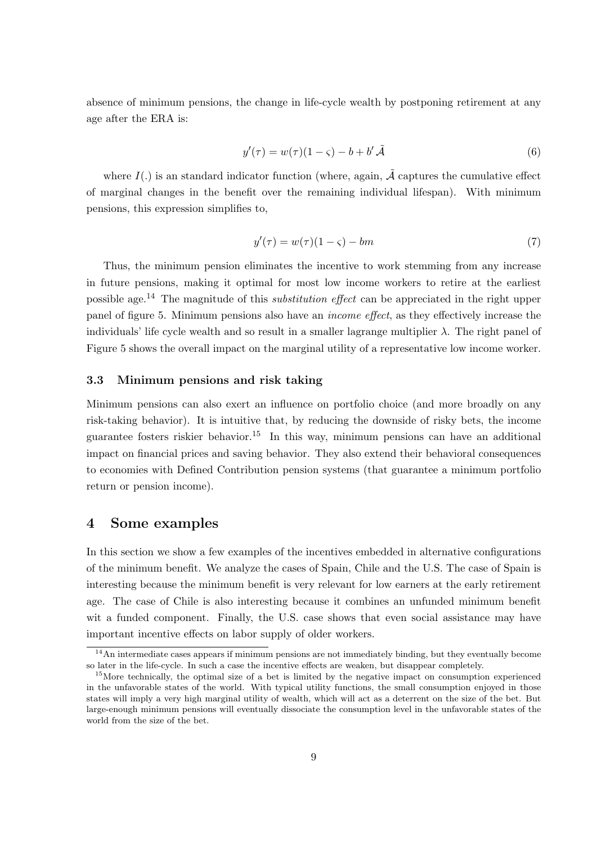absence of minimum pensions, the change in life-cycle wealth by postponing retirement at any age after the ERA is:

$$
y'(\tau) = w(\tau)(1 - \varsigma) - b + b'\tilde{\mathcal{A}}\tag{6}
$$

where  $I(.)$  is an standard indicator function (where, again,  $\tilde{A}$  captures the cumulative effect of marginal changes in the benefit over the remaining individual lifespan). With minimum pensions, this expression simplifies to,

$$
y'(\tau) = w(\tau)(1 - \varsigma) - bm \tag{7}
$$

Thus, the minimum pension eliminates the incentive to work stemming from any increase in future pensions, making it optimal for most low income workers to retire at the earliest possible age.<sup>14</sup> The magnitude of this *substitution effect* can be appreciated in the right upper panel of figure 5. Minimum pensions also have an *income effect*, as they effectively increase the individuals' life cycle wealth and so result in a smaller lagrange multiplier  $\lambda$ . The right panel of Figure 5 shows the overall impact on the marginal utility of a representative low income worker.

#### **3.3 Minimum pensions and risk taking**

Minimum pensions can also exert an influence on portfolio choice (and more broadly on any risk-taking behavior). It is intuitive that, by reducing the downside of risky bets, the income guarantee fosters riskier behavior.<sup>15</sup> In this way, minimum pensions can have an additional impact on financial prices and saving behavior. They also extend their behavioral consequences to economies with Defined Contribution pension systems (that guarantee a minimum portfolio return or pension income).

#### **4 Some examples**

In this section we show a few examples of the incentives embedded in alternative configurations of the minimum benefit. We analyze the cases of Spain, Chile and the U.S. The case of Spain is interesting because the minimum benefit is very relevant for low earners at the early retirement age. The case of Chile is also interesting because it combines an unfunded minimum benefit wit a funded component. Finally, the U.S. case shows that even social assistance may have important incentive effects on labor supply of older workers.

<sup>&</sup>lt;sup>14</sup>An intermediate cases appears if minimum pensions are not immediately binding, but they eventually become so later in the life-cycle. In such a case the incentive effects are weaken, but disappear completely.

<sup>&</sup>lt;sup>15</sup>More technically, the optimal size of a bet is limited by the negative impact on consumption experienced in the unfavorable states of the world. With typical utility functions, the small consumption enjoyed in those states will imply a very high marginal utility of wealth, which will act as a deterrent on the size of the bet. But large-enough minimum pensions will eventually dissociate the consumption level in the unfavorable states of the world from the size of the bet.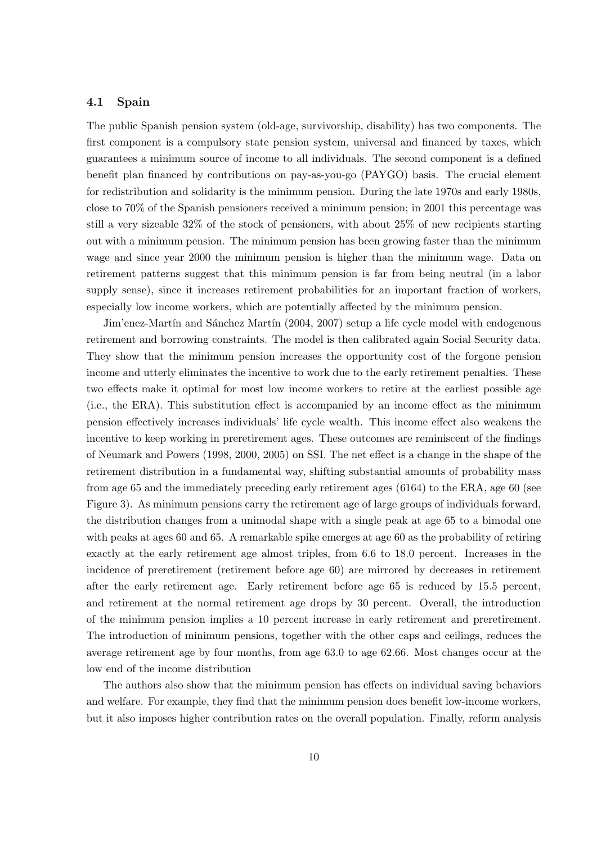#### **4.1 Spain**

The public Spanish pension system (old-age, survivorship, disability) has two components. The first component is a compulsory state pension system, universal and financed by taxes, which guarantees a minimum source of income to all individuals. The second component is a defined benefit plan financed by contributions on pay-as-you-go (PAYGO) basis. The crucial element for redistribution and solidarity is the minimum pension. During the late 1970s and early 1980s, close to 70% of the Spanish pensioners received a minimum pension; in 2001 this percentage was still a very sizeable 32% of the stock of pensioners, with about 25% of new recipients starting out with a minimum pension. The minimum pension has been growing faster than the minimum wage and since year 2000 the minimum pension is higher than the minimum wage. Data on retirement patterns suggest that this minimum pension is far from being neutral (in a labor supply sense), since it increases retirement probabilities for an important fraction of workers, especially low income workers, which are potentially affected by the minimum pension.

Jim'enez-Martín and Sánchez Martín (2004, 2007) setup a life cycle model with endogenous retirement and borrowing constraints. The model is then calibrated again Social Security data. They show that the minimum pension increases the opportunity cost of the forgone pension income and utterly eliminates the incentive to work due to the early retirement penalties. These two effects make it optimal for most low income workers to retire at the earliest possible age (i.e., the ERA). This substitution effect is accompanied by an income effect as the minimum pension effectively increases individuals' life cycle wealth. This income effect also weakens the incentive to keep working in preretirement ages. These outcomes are reminiscent of the findings of Neumark and Powers (1998, 2000, 2005) on SSI. The net effect is a change in the shape of the retirement distribution in a fundamental way, shifting substantial amounts of probability mass from age 65 and the immediately preceding early retirement ages (6164) to the ERA, age 60 (see Figure 3). As minimum pensions carry the retirement age of large groups of individuals forward, the distribution changes from a unimodal shape with a single peak at age 65 to a bimodal one with peaks at ages 60 and 65. A remarkable spike emerges at age 60 as the probability of retiring exactly at the early retirement age almost triples, from 6.6 to 18.0 percent. Increases in the incidence of preretirement (retirement before age 60) are mirrored by decreases in retirement after the early retirement age. Early retirement before age 65 is reduced by 15.5 percent, and retirement at the normal retirement age drops by 30 percent. Overall, the introduction of the minimum pension implies a 10 percent increase in early retirement and preretirement. The introduction of minimum pensions, together with the other caps and ceilings, reduces the average retirement age by four months, from age 63.0 to age 62.66. Most changes occur at the low end of the income distribution

The authors also show that the minimum pension has effects on individual saving behaviors and welfare. For example, they find that the minimum pension does benefit low-income workers, but it also imposes higher contribution rates on the overall population. Finally, reform analysis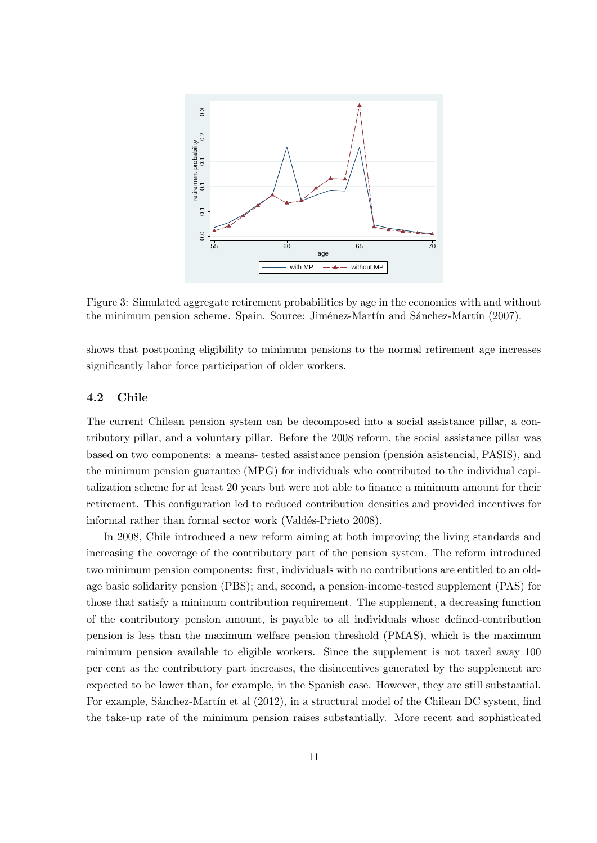

Figure 3: Simulated aggregate retirement probabilities by age in the economies with and without the minimum pension scheme. Spain. Source: Jiménez-Martín and Sánchez-Martín (2007).

shows that postponing eligibility to minimum pensions to the normal retirement age increases significantly labor force participation of older workers.

#### **4.2 Chile**

The current Chilean pension system can be decomposed into a social assistance pillar, a contributory pillar, and a voluntary pillar. Before the 2008 reform, the social assistance pillar was based on two components: a means- tested assistance pension (pensión asistencial, PASIS), and the minimum pension guarantee (MPG) for individuals who contributed to the individual capitalization scheme for at least 20 years but were not able to finance a minimum amount for their retirement. This configuration led to reduced contribution densities and provided incentives for informal rather than formal sector work (Valdés-Prieto 2008).

In 2008, Chile introduced a new reform aiming at both improving the living standards and increasing the coverage of the contributory part of the pension system. The reform introduced two minimum pension components: first, individuals with no contributions are entitled to an oldage basic solidarity pension (PBS); and, second, a pension-income-tested supplement (PAS) for those that satisfy a minimum contribution requirement. The supplement, a decreasing function of the contributory pension amount, is payable to all individuals whose defined-contribution pension is less than the maximum welfare pension threshold (PMAS), which is the maximum minimum pension available to eligible workers. Since the supplement is not taxed away 100 per cent as the contributory part increases, the disincentives generated by the supplement are expected to be lower than, for example, in the Spanish case. However, they are still substantial. For example, Sánchez-Martín et al (2012), in a structural model of the Chilean DC system, find the take-up rate of the minimum pension raises substantially. More recent and sophisticated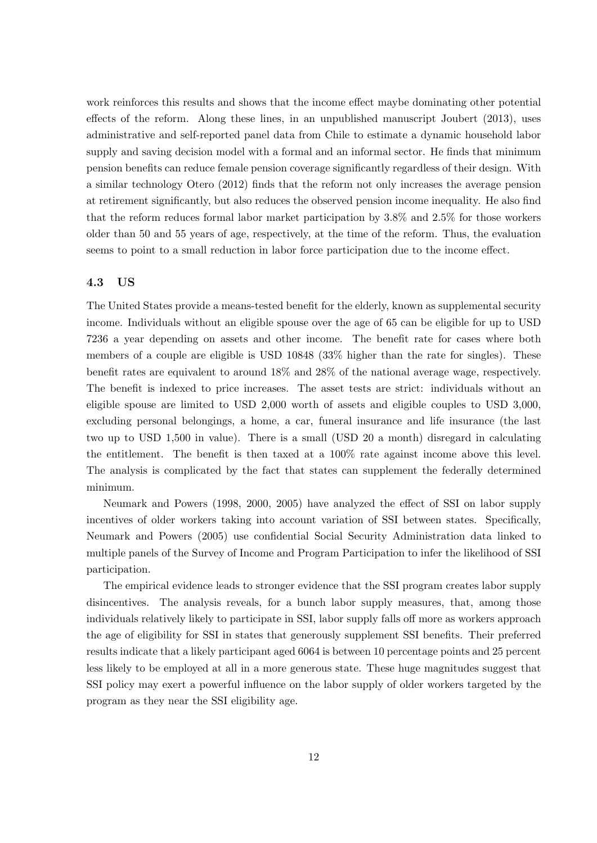work reinforces this results and shows that the income effect maybe dominating other potential effects of the reform. Along these lines, in an unpublished manuscript Joubert (2013), uses administrative and self-reported panel data from Chile to estimate a dynamic household labor supply and saving decision model with a formal and an informal sector. He finds that minimum pension benefits can reduce female pension coverage significantly regardless of their design. With a similar technology Otero (2012) finds that the reform not only increases the average pension at retirement significantly, but also reduces the observed pension income inequality. He also find that the reform reduces formal labor market participation by 3.8% and 2.5% for those workers older than 50 and 55 years of age, respectively, at the time of the reform. Thus, the evaluation seems to point to a small reduction in labor force participation due to the income effect.

#### **4.3 US**

The United States provide a means-tested benefit for the elderly, known as supplemental security income. Individuals without an eligible spouse over the age of 65 can be eligible for up to USD 7236 a year depending on assets and other income. The benefit rate for cases where both members of a couple are eligible is USD 10848 (33% higher than the rate for singles). These benefit rates are equivalent to around 18% and 28% of the national average wage, respectively. The benefit is indexed to price increases. The asset tests are strict: individuals without an eligible spouse are limited to USD 2,000 worth of assets and eligible couples to USD 3,000, excluding personal belongings, a home, a car, funeral insurance and life insurance (the last two up to USD 1,500 in value). There is a small (USD 20 a month) disregard in calculating the entitlement. The benefit is then taxed at a 100% rate against income above this level. The analysis is complicated by the fact that states can supplement the federally determined minimum.

Neumark and Powers (1998, 2000, 2005) have analyzed the effect of SSI on labor supply incentives of older workers taking into account variation of SSI between states. Specifically, Neumark and Powers (2005) use confidential Social Security Administration data linked to multiple panels of the Survey of Income and Program Participation to infer the likelihood of SSI participation.

The empirical evidence leads to stronger evidence that the SSI program creates labor supply disincentives. The analysis reveals, for a bunch labor supply measures, that, among those individuals relatively likely to participate in SSI, labor supply falls off more as workers approach the age of eligibility for SSI in states that generously supplement SSI benefits. Their preferred results indicate that a likely participant aged 6064 is between 10 percentage points and 25 percent less likely to be employed at all in a more generous state. These huge magnitudes suggest that SSI policy may exert a powerful influence on the labor supply of older workers targeted by the program as they near the SSI eligibility age.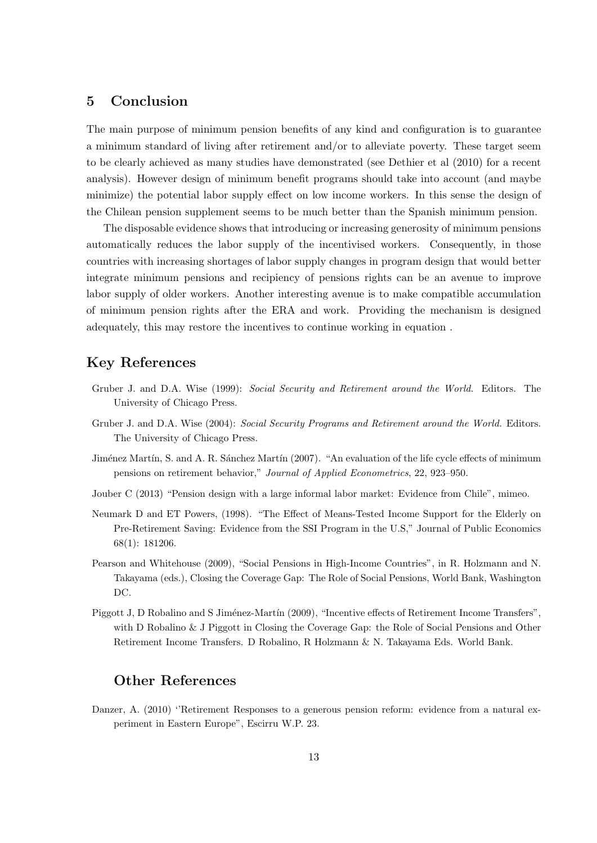## **5 Conclusion**

The main purpose of minimum pension benefits of any kind and configuration is to guarantee a minimum standard of living after retirement and/or to alleviate poverty. These target seem to be clearly achieved as many studies have demonstrated (see Dethier et al (2010) for a recent analysis). However design of minimum benefit programs should take into account (and maybe minimize) the potential labor supply effect on low income workers. In this sense the design of the Chilean pension supplement seems to be much better than the Spanish minimum pension.

The disposable evidence shows that introducing or increasing generosity of minimum pensions automatically reduces the labor supply of the incentivised workers. Consequently, in those countries with increasing shortages of labor supply changes in program design that would better integrate minimum pensions and recipiency of pensions rights can be an avenue to improve labor supply of older workers. Another interesting avenue is to make compatible accumulation of minimum pension rights after the ERA and work. Providing the mechanism is designed adequately, this may restore the incentives to continue working in equation .

## **Key References**

- Gruber J. and D.A. Wise (1999): *Social Security and Retirement around the World.* Editors. The University of Chicago Press.
- Gruber J. and D.A. Wise (2004): *Social Security Programs and Retirement around the World.* Editors. The University of Chicago Press.
- Jiménez Martín, S. and A. R. Sánchez Martín (2007). "An evaluation of the life cycle effects of minimum pensions on retirement behavior," *Journal of Applied Econometrics*, 22, 923–950.
- Jouber C (2013) "Pension design with a large informal labor market: Evidence from Chile", mimeo.
- Neumark D and ET Powers, (1998). "The Effect of Means-Tested Income Support for the Elderly on Pre-Retirement Saving: Evidence from the SSI Program in the U.S," Journal of Public Economics 68(1): 181206.
- Pearson and Whitehouse (2009), "Social Pensions in High-Income Countries", in R. Holzmann and N. Takayama (eds.), Closing the Coverage Gap: The Role of Social Pensions, World Bank, Washington DC.
- Piggott J, D Robalino and S Jiménez-Martín (2009), "Incentive effects of Retirement Income Transfers", with D Robalino & J Piggott in Closing the Coverage Gap: the Role of Social Pensions and Other Retirement Income Transfers. D Robalino, R Holzmann & N. Takayama Eds. World Bank.

## **Other References**

Danzer, A. (2010) ''Retirement Responses to a generous pension reform: evidence from a natural experiment in Eastern Europe", Escirru W.P. 23.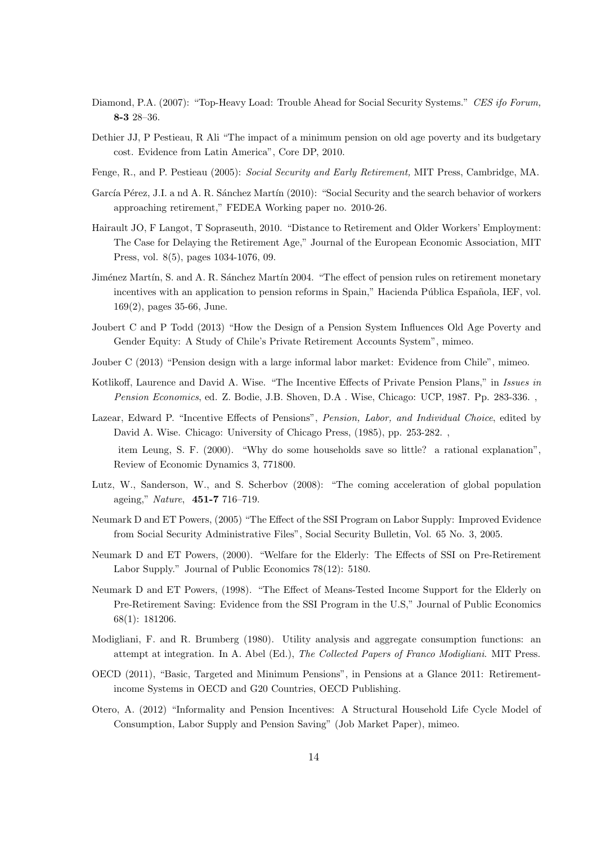- Diamond, P.A. (2007): "Top-Heavy Load: Trouble Ahead for Social Security Systems." *CES ifo Forum,* **8-3** 28–36.
- Dethier JJ, P Pestieau, R Ali "The impact of a minimum pension on old age poverty and its budgetary cost. Evidence from Latin America", Core DP, 2010.
- Fenge, R., and P. Pestieau (2005): *Social Security and Early Retirement,* MIT Press, Cambridge, MA.
- García Pérez, J.I. a nd A. R. Sánchez Martín (2010): "Social Security and the search behavior of workers approaching retirement," FEDEA Working paper no. 2010-26.
- Hairault JO, F Langot, T Sopraseuth, 2010. "Distance to Retirement and Older Workers' Employment: The Case for Delaying the Retirement Age," Journal of the European Economic Association, MIT Press, vol. 8(5), pages 1034-1076, 09.
- Jiménez Martín, S. and A. R. Sánchez Martín 2004. "The effect of pension rules on retirement monetary incentives with an application to pension reforms in Spain," Hacienda Pública Española, IEF, vol. 169(2), pages 35-66, June.
- Joubert C and P Todd (2013) "How the Design of a Pension System Influences Old Age Poverty and Gender Equity: A Study of Chile's Private Retirement Accounts System", mimeo.
- Jouber C (2013) "Pension design with a large informal labor market: Evidence from Chile", mimeo.
- Kotlikoff, Laurence and David A. Wise. "The Incentive Effects of Private Pension Plans," in *Issues in Pension Economics*, ed. Z. Bodie, J.B. Shoven, D.A . Wise, Chicago: UCP, 1987. Pp. 283-336. ,
- Lazear, Edward P. "Incentive Effects of Pensions", *Pension, Labor, and Individual Choice*, edited by David A. Wise. Chicago: University of Chicago Press, (1985), pp. 253-282. , item Leung, S. F. (2000). "Why do some households save so little? a rational explanation", Review of Economic Dynamics 3, 771800.
- Lutz, W., Sanderson, W., and S. Scherbov (2008): "The coming acceleration of global population ageing," *Nature*, **451-7** 716–719.
- Neumark D and ET Powers, (2005) "The Effect of the SSI Program on Labor Supply: Improved Evidence from Social Security Administrative Files", Social Security Bulletin, Vol. 65 No. 3, 2005.
- Neumark D and ET Powers, (2000). "Welfare for the Elderly: The Effects of SSI on Pre-Retirement Labor Supply." Journal of Public Economics 78(12): 5180.
- Neumark D and ET Powers, (1998). "The Effect of Means-Tested Income Support for the Elderly on Pre-Retirement Saving: Evidence from the SSI Program in the U.S," Journal of Public Economics 68(1): 181206.
- Modigliani, F. and R. Brumberg (1980). Utility analysis and aggregate consumption functions: an attempt at integration. In A. Abel (Ed.), *The Collected Papers of Franco Modigliani*. MIT Press.
- OECD (2011), "Basic, Targeted and Minimum Pensions", in Pensions at a Glance 2011: Retirementincome Systems in OECD and G20 Countries, OECD Publishing.
- Otero, A. (2012) "Informality and Pension Incentives: A Structural Household Life Cycle Model of Consumption, Labor Supply and Pension Saving" (Job Market Paper), mimeo.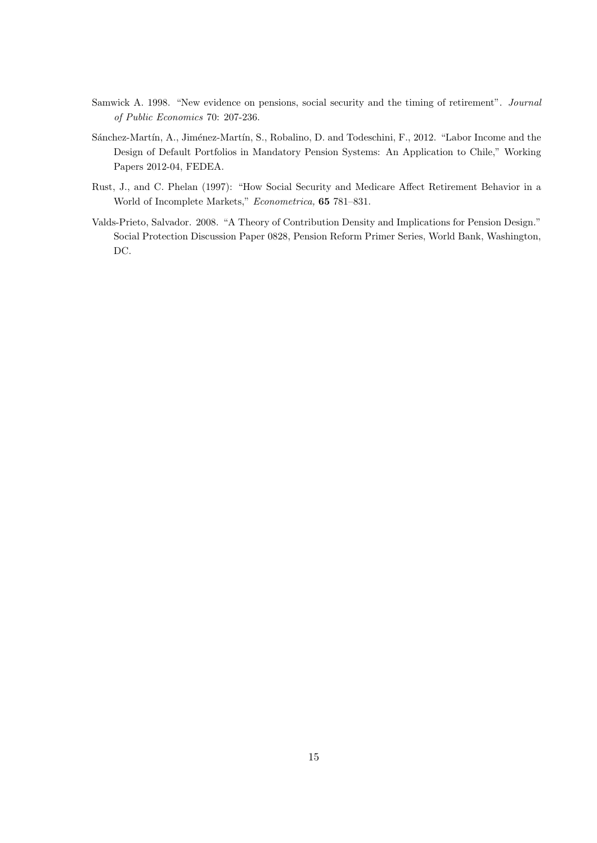- Samwick A. 1998. "New evidence on pensions, social security and the timing of retirement". *Journal of Public Economics* 70: 207-236.
- Sánchez-Martín, A., Jiménez-Martín, S., Robalino, D. and Todeschini, F., 2012. "Labor Income and the Design of Default Portfolios in Mandatory Pension Systems: An Application to Chile," Working Papers 2012-04, FEDEA.
- Rust, J., and C. Phelan (1997): "How Social Security and Medicare Affect Retirement Behavior in a World of Incomplete Markets," *Econometrica,* **65** 781–831.
- Valds-Prieto, Salvador. 2008. "A Theory of Contribution Density and Implications for Pension Design." Social Protection Discussion Paper 0828, Pension Reform Primer Series, World Bank, Washington, DC.